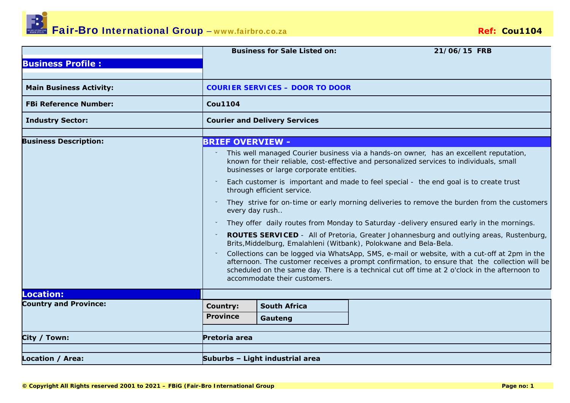

|                                |                         | <b>Business for Sale Listed on:</b>                                                                                                                                 |  | 21/06/15 FRB                                                                                                                                                                                                                                                                                   |  |  |  |
|--------------------------------|-------------------------|---------------------------------------------------------------------------------------------------------------------------------------------------------------------|--|------------------------------------------------------------------------------------------------------------------------------------------------------------------------------------------------------------------------------------------------------------------------------------------------|--|--|--|
| <b>Business Profile:</b>       |                         |                                                                                                                                                                     |  |                                                                                                                                                                                                                                                                                                |  |  |  |
|                                |                         |                                                                                                                                                                     |  |                                                                                                                                                                                                                                                                                                |  |  |  |
| <b>Main Business Activity:</b> |                         | <b>COURIER SERVICES - DOOR TO DOOR</b>                                                                                                                              |  |                                                                                                                                                                                                                                                                                                |  |  |  |
| <b>FBi Reference Number:</b>   | <b>Cou1104</b>          |                                                                                                                                                                     |  |                                                                                                                                                                                                                                                                                                |  |  |  |
| <b>Industry Sector:</b>        |                         | <b>Courier and Delivery Services</b>                                                                                                                                |  |                                                                                                                                                                                                                                                                                                |  |  |  |
|                                |                         |                                                                                                                                                                     |  |                                                                                                                                                                                                                                                                                                |  |  |  |
| <b>Business Description:</b>   | <b>BRIEF OVERVIEW -</b> |                                                                                                                                                                     |  |                                                                                                                                                                                                                                                                                                |  |  |  |
|                                |                         | businesses or large corporate entities.                                                                                                                             |  | This well managed Courier business via a hands-on owner, has an excellent reputation,<br>known for their reliable, cost-effective and personalized services to individuals, small                                                                                                              |  |  |  |
|                                |                         | through efficient service.                                                                                                                                          |  | Each customer is important and made to feel special - the end goal is to create trust                                                                                                                                                                                                          |  |  |  |
|                                |                         | every day rush                                                                                                                                                      |  | They strive for on-time or early morning deliveries to remove the burden from the customers                                                                                                                                                                                                    |  |  |  |
|                                |                         |                                                                                                                                                                     |  | They offer daily routes from Monday to Saturday -delivery ensured early in the mornings.                                                                                                                                                                                                       |  |  |  |
|                                | $\check{ }$             | <b>ROUTES SERVICED</b> - All of Pretoria, Greater Johannesburg and outlying areas, Rustenburg,<br>Brits, Middelburg, Emalahleni (Witbank), Polokwane and Bela-Bela. |  |                                                                                                                                                                                                                                                                                                |  |  |  |
|                                |                         | accommodate their customers.                                                                                                                                        |  | Collections can be logged via WhatsApp, SMS, e-mail or website, with a cut-off at 2pm in the<br>afternoon. The customer receives a prompt confirmation, to ensure that the collection will be<br>scheduled on the same day. There is a technical cut off time at 2 o'clock in the afternoon to |  |  |  |
| <b>Location:</b>               |                         |                                                                                                                                                                     |  |                                                                                                                                                                                                                                                                                                |  |  |  |
| <b>Country and Province:</b>   | <b>Country:</b>         | <b>South Africa</b>                                                                                                                                                 |  |                                                                                                                                                                                                                                                                                                |  |  |  |
|                                | <b>Province</b>         | Gauteng                                                                                                                                                             |  |                                                                                                                                                                                                                                                                                                |  |  |  |
| City / Town:                   | Pretoria area           |                                                                                                                                                                     |  |                                                                                                                                                                                                                                                                                                |  |  |  |
| <b>Location / Area:</b>        |                         | Suburbs - Light industrial area                                                                                                                                     |  |                                                                                                                                                                                                                                                                                                |  |  |  |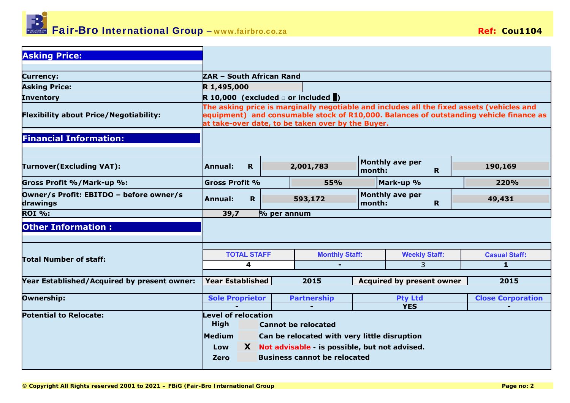

| <b>Asking Price:</b>                                |                                                                  |              |  |                    |                                                   |                                  |                        |    |                                                                                                                                                                                     |
|-----------------------------------------------------|------------------------------------------------------------------|--------------|--|--------------------|---------------------------------------------------|----------------------------------|------------------------|----|-------------------------------------------------------------------------------------------------------------------------------------------------------------------------------------|
| <b>Currency:</b>                                    |                                                                  |              |  |                    |                                                   |                                  |                        |    |                                                                                                                                                                                     |
| <b>Asking Price:</b>                                | ZAR - South African Rand<br>R 1,495,000                          |              |  |                    |                                                   |                                  |                        |    |                                                                                                                                                                                     |
| <b>Inventory</b>                                    | R 10,000 (excluded $\Box$ or included $\Box$ )                   |              |  |                    |                                                   |                                  |                        |    |                                                                                                                                                                                     |
| <b>Flexibility about Price/Negotiability:</b>       |                                                                  |              |  |                    | at take-over date, to be taken over by the Buyer. |                                  |                        |    | The asking price is marginally negotiable and includes all the fixed assets (vehicles and<br>equipment) and consumable stock of R10,000. Balances of outstanding vehicle finance as |
| <b>Financial Information:</b>                       |                                                                  |              |  |                    |                                                   |                                  |                        |    |                                                                                                                                                                                     |
| <b>Turnover(Excluding VAT):</b>                     | Annual:                                                          | $\mathbf{R}$ |  |                    | 2,001,783                                         | month:                           | <b>Monthly ave per</b> | R. | 190,169                                                                                                                                                                             |
| Gross Profit %/Mark-up %:                           | <b>Gross Profit %</b>                                            |              |  |                    | <b>55%</b>                                        |                                  | Mark-up %              |    | 220%                                                                                                                                                                                |
| Owner/s Profit: EBITDO - before owner/s<br>drawings | Annual:                                                          | $\mathbf R$  |  |                    | 593,172                                           | month:                           | <b>Monthly ave per</b> | R. | 49,431                                                                                                                                                                              |
| <b>ROI %:</b>                                       | 39,7                                                             |              |  | $\%$ per annum     |                                                   |                                  |                        |    |                                                                                                                                                                                     |
| <b>Other Information:</b>                           |                                                                  |              |  |                    |                                                   |                                  |                        |    |                                                                                                                                                                                     |
|                                                     |                                                                  |              |  |                    |                                                   |                                  |                        |    |                                                                                                                                                                                     |
| <b>Total Number of staff:</b>                       | <b>TOTAL STAFF</b>                                               |              |  |                    | <b>Monthly Staff:</b>                             |                                  | <b>Weekly Staff:</b>   |    | <b>Casual Staff:</b>                                                                                                                                                                |
|                                                     | 4                                                                |              |  |                    |                                                   |                                  | 3                      |    | $\mathbf{1}$                                                                                                                                                                        |
| Year Established/Acquired by present owner:         | <b>Year Established</b>                                          |              |  |                    | 2015                                              | <b>Acquired by present owner</b> |                        |    | 2015                                                                                                                                                                                |
| Ownership:                                          | <b>Sole Proprietor</b>                                           |              |  | <b>Partnership</b> |                                                   | <b>Pty Ltd</b>                   |                        |    | <b>Close Corporation</b>                                                                                                                                                            |
|                                                     |                                                                  |              |  |                    |                                                   | <b>YES</b>                       |                        |    |                                                                                                                                                                                     |
| <b>Potential to Relocate:</b>                       | Level of relocation<br><b>High</b><br><b>Cannot be relocated</b> |              |  |                    |                                                   |                                  |                        |    |                                                                                                                                                                                     |
|                                                     | Medium<br>Can be relocated with very little disruption           |              |  |                    |                                                   |                                  |                        |    |                                                                                                                                                                                     |
|                                                     | X Not advisable - is possible, but not advised.<br>Low           |              |  |                    |                                                   |                                  |                        |    |                                                                                                                                                                                     |
|                                                     | <b>Zero</b>                                                      |              |  |                    | <b>Business cannot be relocated</b>               |                                  |                        |    |                                                                                                                                                                                     |
|                                                     |                                                                  |              |  |                    |                                                   |                                  |                        |    |                                                                                                                                                                                     |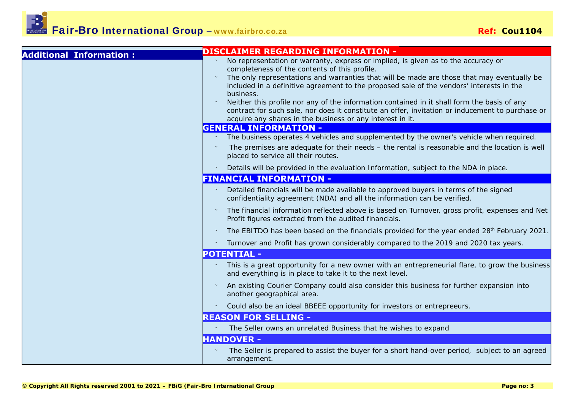Fair-Bro International Group **–** www.fairbro.co.za **Ref: Cou1104**

| <b>Additional Information:</b> | <b>DISCLAIMER REGARDING INFORMATION -</b>                                                                                                                                                                                                                                                                                                                                                                                                                                                                                                                                                                 |
|--------------------------------|-----------------------------------------------------------------------------------------------------------------------------------------------------------------------------------------------------------------------------------------------------------------------------------------------------------------------------------------------------------------------------------------------------------------------------------------------------------------------------------------------------------------------------------------------------------------------------------------------------------|
|                                | No representation or warranty, express or implied, is given as to the accuracy or<br>completeness of the contents of this profile.<br>The only representations and warranties that will be made are those that may eventually be<br>included in a definitive agreement to the proposed sale of the vendors' interests in the<br>business.<br>Neither this profile nor any of the information contained in it shall form the basis of any<br>contract for such sale, nor does it constitute an offer, invitation or inducement to purchase or<br>acquire any shares in the business or any interest in it. |
|                                | <b>GENERAL INFORMATION -</b>                                                                                                                                                                                                                                                                                                                                                                                                                                                                                                                                                                              |
|                                | The business operates 4 vehicles and supplemented by the owner's vehicle when required.                                                                                                                                                                                                                                                                                                                                                                                                                                                                                                                   |
|                                | The premises are adequate for their needs $-$ the rental is reasonable and the location is well<br>placed to service all their routes.                                                                                                                                                                                                                                                                                                                                                                                                                                                                    |
|                                | Details will be provided in the evaluation Information, subject to the NDA in place.                                                                                                                                                                                                                                                                                                                                                                                                                                                                                                                      |
|                                | <b>FINANCIAL INFORMATION -</b>                                                                                                                                                                                                                                                                                                                                                                                                                                                                                                                                                                            |
|                                | Detailed financials will be made available to approved buyers in terms of the signed<br>confidentiality agreement (NDA) and all the information can be verified.                                                                                                                                                                                                                                                                                                                                                                                                                                          |
|                                | The financial information reflected above is based on Turnover, gross profit, expenses and Net<br>Profit figures extracted from the audited financials.                                                                                                                                                                                                                                                                                                                                                                                                                                                   |
|                                | The EBITDO has been based on the financials provided for the year ended 28 <sup>th</sup> February 2021.                                                                                                                                                                                                                                                                                                                                                                                                                                                                                                   |
|                                | Turnover and Profit has grown considerably compared to the 2019 and 2020 tax years.                                                                                                                                                                                                                                                                                                                                                                                                                                                                                                                       |
|                                | <b>POTENTIAL -</b>                                                                                                                                                                                                                                                                                                                                                                                                                                                                                                                                                                                        |
|                                | This is a great opportunity for a new owner with an entrepreneurial flare, to grow the business<br>and everything is in place to take it to the next level.                                                                                                                                                                                                                                                                                                                                                                                                                                               |
|                                | An existing Courier Company could also consider this business for further expansion into<br>another geographical area.                                                                                                                                                                                                                                                                                                                                                                                                                                                                                    |
|                                | Could also be an ideal BBEEE opportunity for investors or entrepreeurs.                                                                                                                                                                                                                                                                                                                                                                                                                                                                                                                                   |
|                                | <b>REASON FOR SELLING -</b>                                                                                                                                                                                                                                                                                                                                                                                                                                                                                                                                                                               |
|                                | The Seller owns an unrelated Business that he wishes to expand                                                                                                                                                                                                                                                                                                                                                                                                                                                                                                                                            |
|                                | <b>HANDOVER -</b>                                                                                                                                                                                                                                                                                                                                                                                                                                                                                                                                                                                         |
|                                | The Seller is prepared to assist the buyer for a short hand-over period, subject to an agreed<br>arrangement.                                                                                                                                                                                                                                                                                                                                                                                                                                                                                             |